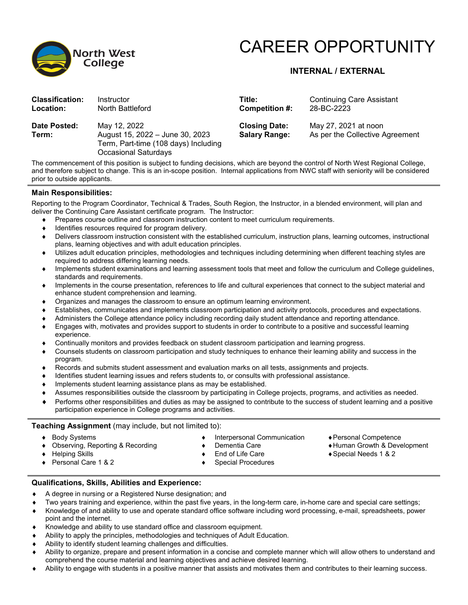

# CAREER OPPORTUNITY

# **INTERNAL / EXTERNAL**

| <b>Classification:</b><br>Location: | Instructor<br>North Battleford                                                                                                 | Title:<br>Competition #:                     | <b>Continuing Care Assistant</b><br>28-BC-2223          |
|-------------------------------------|--------------------------------------------------------------------------------------------------------------------------------|----------------------------------------------|---------------------------------------------------------|
| Date Posted:<br>Term:               | May 12, 2022<br>August 15, 2022 - June 30, 2023<br>Term, Part-time (108 days) Including<br><b>Occasional Saturdays</b>         | <b>Closing Date:</b><br><b>Salary Range:</b> | May 27, 2021 at noon<br>As per the Collective Agreement |
|                                     | The commencement of this position is subject to funding decisions, which are beyond the control of North West Regional College |                                              |                                                         |

The commencement of this position is subject to funding decisions, which are beyond the control of North West Regional College, and therefore subject to change. This is an in-scope position. Internal applications from NWC staff with seniority will be considered prior to outside applicants.

# **Main Responsibilities:**

Reporting to the Program Coordinator, Technical & Trades, South Region, the Instructor, in a blended environment, will plan and deliver the Continuing Care Assistant certificate program. The Instructor:

- Prepares course outline and classroom instruction content to meet curriculum requirements.
- Identifies resources required for program delivery.
- Delivers classroom instruction consistent with the established curriculum, instruction plans, learning outcomes, instructional plans, learning objectives and with adult education principles.
- Utilizes adult education principles, methodologies and techniques including determining when different teaching styles are required to address differing learning needs.
- Implements student examinations and learning assessment tools that meet and follow the curriculum and College guidelines, standards and requirements.
- Implements in the course presentation, references to life and cultural experiences that connect to the subject material and enhance student comprehension and learning.
- Organizes and manages the classroom to ensure an optimum learning environment.
- Establishes, communicates and implements classroom participation and activity protocols, procedures and expectations.
- Administers the College attendance policy including recording daily student attendance and reporting attendance.
- Engages with, motivates and provides support to students in order to contribute to a positive and successful learning experience.
- Continually monitors and provides feedback on student classroom participation and learning progress.
- Counsels students on classroom participation and study techniques to enhance their learning ability and success in the program.
- Records and submits student assessment and evaluation marks on all tests, assignments and projects.
- Identifies student learning issues and refers students to, or consults with professional assistance.
- Implements student learning assistance plans as may be established.
- Assumes responsibilities outside the classroom by participating in College projects, programs, and activities as needed.
- Performs other responsibilities and duties as may be assigned to contribute to the success of student learning and a positive participation experience in College programs and activities.

## **Teaching Assignment** (may include, but not limited to):

- ♦ Body Systems
- ♦ Observing, Reporting & Recording
- Interpersonal Communication ♦ Dementia Care
- ♦Personal Competence
- ♦Human Growth & Development
- ♦Special Needs 1 & 2

♦ Helping Skills ♦ Personal Care 1 & 2

- End of Life Care
- ♦ Special Procedures

# **Qualifications, Skills, Abilities and Experience:**

- A degree in nursing or a Registered Nurse designation; and
- Two years training and experience, within the past five years, in the long-term care, in-home care and special care settings;
- Knowledge of and ability to use and operate standard office software including word processing, e-mail, spreadsheets, power point and the internet.
- ♦ Knowledge and ability to use standard office and classroom equipment.
- Ability to apply the principles, methodologies and techniques of Adult Education.
- Ability to identify student learning challenges and difficulties.
- Ability to organize, prepare and present information in a concise and complete manner which will allow others to understand and comprehend the course material and learning objectives and achieve desired learning.
- Ability to engage with students in a positive manner that assists and motivates them and contributes to their learning success.